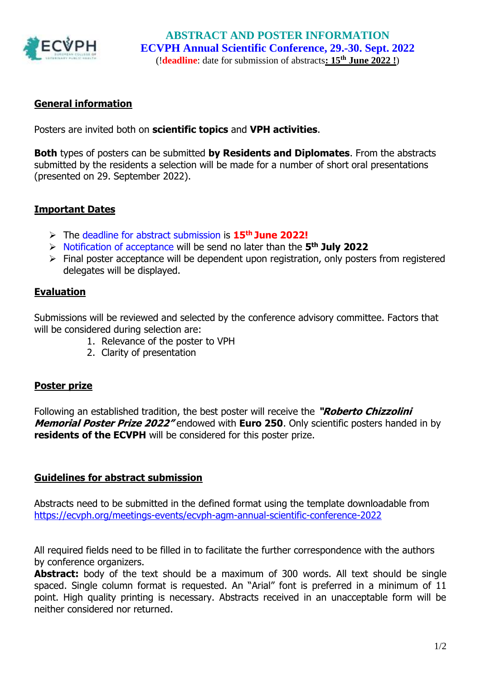

# **General information**

Posters are invited both on **scientific topics** and **VPH activities**.

**Both** types of posters can be submitted **by Residents and Diplomates**. From the abstracts submitted by the residents a selection will be made for a number of short oral presentations (presented on 29. September 2022).

# **Important Dates**

- ➢ The deadline for abstract submission is **15 th June 2022!**
- ➢ Notification of acceptance will be send no later than the **5 th July 2022**
- ➢ Final poster acceptance will be dependent upon registration, only posters from registered delegates will be displayed.

# **Evaluation**

Submissions will be reviewed and selected by the conference advisory committee. Factors that will be considered during selection are:

- 1. Relevance of the poster to VPH
- 2. Clarity of presentation

### **Poster prize**

Following an established tradition, the best poster will receive the **"Roberto Chizzolini Memorial Poster Prize 2022"** endowed with **Euro 250**. Only scientific posters handed in by **residents of the ECVPH** will be considered for this poster prize.

### **Guidelines for abstract submission**

Abstracts need to be submitted in the defined format using the template downloadable from <https://ecvph.org/meetings-events/ecvph-agm-annual-scientific-conference-2022>

All required fields need to be filled in to facilitate the further correspondence with the authors by conference organizers.

Abstract: body of the text should be a maximum of 300 words. All text should be single spaced. Single column format is requested. An "Arial" font is preferred in a minimum of 11 point. High quality printing is necessary. Abstracts received in an unacceptable form will be neither considered nor returned.